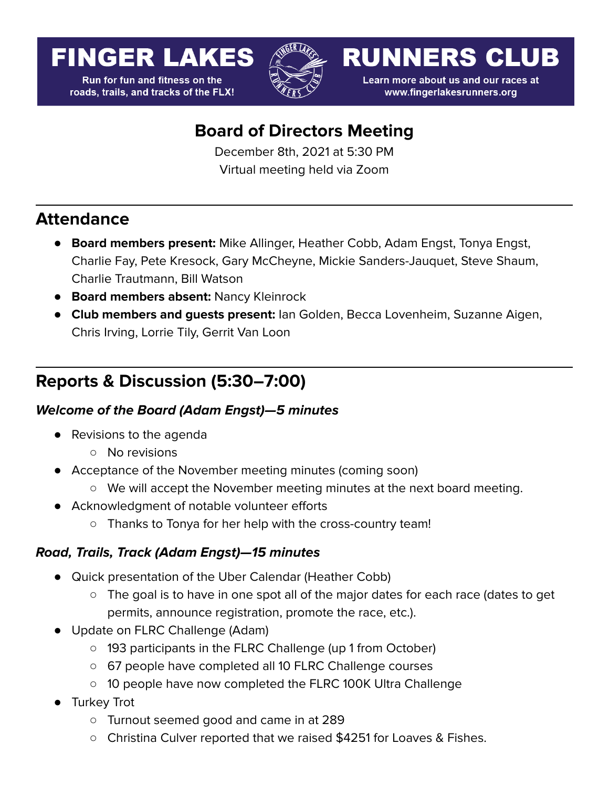# **FINGER LAKES**

**Run for fun and fitness on the** roads, trails, and tracks of the FLX!



**RUNNERS CLUB** 

Learn more about us and our races at www.fingerlakesrunners.org

# **Board of Directors Meeting**

December 8th, 2021 at 5:30 PM Virtual meeting held via Zoom

# **Attendance**

- **Board members present:** Mike Allinger, Heather Cobb, Adam Engst, Tonya Engst, Charlie Fay, Pete Kresock, Gary McCheyne, Mickie Sanders-Jauquet, Steve Shaum, Charlie Trautmann, Bill Watson
- **Board members absent:** Nancy Kleinrock
- **Club members and guests present:** Ian Golden, Becca Lovenheim, Suzanne Aigen, Chris Irving, Lorrie Tily, Gerrit Van Loon

# **Reports & Discussion (5:30–7:00)**

# **Welcome of the Board (Adam Engst)—5 minutes**

- Revisions to the agenda
	- No revisions
- Acceptance of the November meeting minutes (coming soon)
	- We will accept the November meeting minutes at the next board meeting.
- Acknowledgment of notable volunteer efforts
	- Thanks to Tonya for her help with the cross-country team!

# **Road, Trails, Track (Adam Engst)—15 minutes**

- Quick presentation of the Uber Calendar (Heather Cobb)
	- The goal is to have in one spot all of the major dates for each race (dates to get permits, announce registration, promote the race, etc.).
- Update on FLRC Challenge (Adam)
	- 193 participants in the FLRC Challenge (up 1 from October)
	- 67 people have completed all 10 FLRC Challenge courses
	- 10 people have now completed the FLRC 100K Ultra Challenge
- Turkey Trot
	- Turnout seemed good and came in at 289
	- Christina Culver reported that we raised \$4251 for Loaves & Fishes.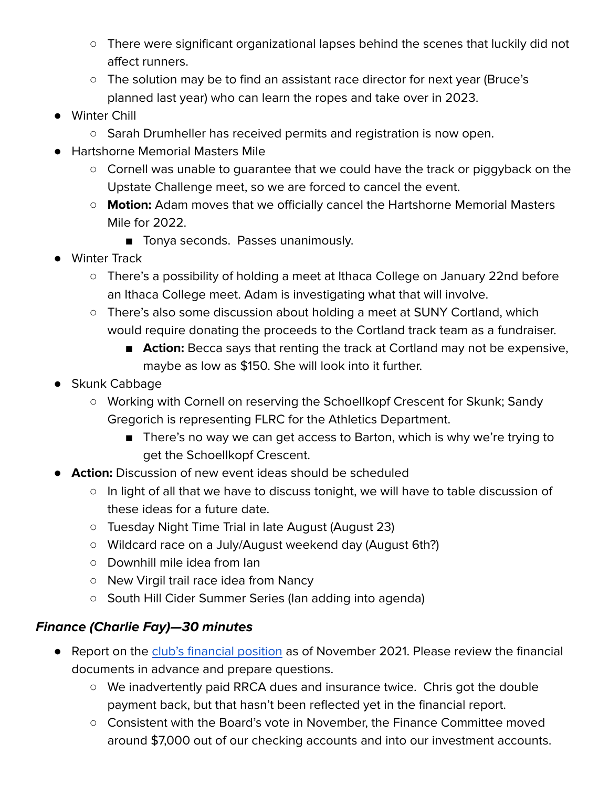- There were significant organizational lapses behind the scenes that luckily did not affect runners.
- The solution may be to find an assistant race director for next year (Bruce's planned last year) who can learn the ropes and take over in 2023.
- Winter Chill
	- Sarah Drumheller has received permits and registration is now open.
- Hartshorne Memorial Masters Mile
	- Cornell was unable to guarantee that we could have the track or piggyback on the Upstate Challenge meet, so we are forced to cancel the event.
	- **Motion:** Adam moves that we officially cancel the Hartshorne Memorial Masters Mile for 2022.
		- Tonya seconds. Passes unanimously.
- Winter Track
	- There's a possibility of holding a meet at Ithaca College on January 22nd before an Ithaca College meet. Adam is investigating what that will involve.
	- There's also some discussion about holding a meet at SUNY Cortland, which would require donating the proceeds to the Cortland track team as a fundraiser.
		- **Action:** Becca says that renting the track at Cortland may not be expensive, maybe as low as \$150. She will look into it further.
- Skunk Cabbage
	- Working with Cornell on reserving the Schoellkopf Crescent for Skunk; Sandy Gregorich is representing FLRC for the Athletics Department.
		- There's no way we can get access to Barton, which is why we're trying to get the Schoellkopf Crescent.
- **Action:** Discussion of new event ideas should be scheduled
	- In light of all that we have to discuss tonight, we will have to table discussion of these ideas for a future date.
	- Tuesday Night Time Trial in late August (August 23)
	- Wildcard race on a July/August weekend day (August 6th?)
	- Downhill mile idea from Ian
	- New Virgil trail race idea from Nancy
	- South Hill Cider Summer Series (Ian adding into agenda)

# **Finance (Charlie Fay)—30 minutes**

- Report on the club's [financial](https://drive.google.com/file/d/1ufDz4Jd3C5Xy5hwe2gDlPfFpNTbeT2UV/view?usp=sharing) position as of November 2021. Please review the financial documents in advance and prepare questions.
	- We inadvertently paid RRCA dues and insurance twice. Chris got the double payment back, but that hasn't been reflected yet in the financial report.
	- Consistent with the Board's vote in November, the Finance Committee moved around \$7,000 out of our checking accounts and into our investment accounts.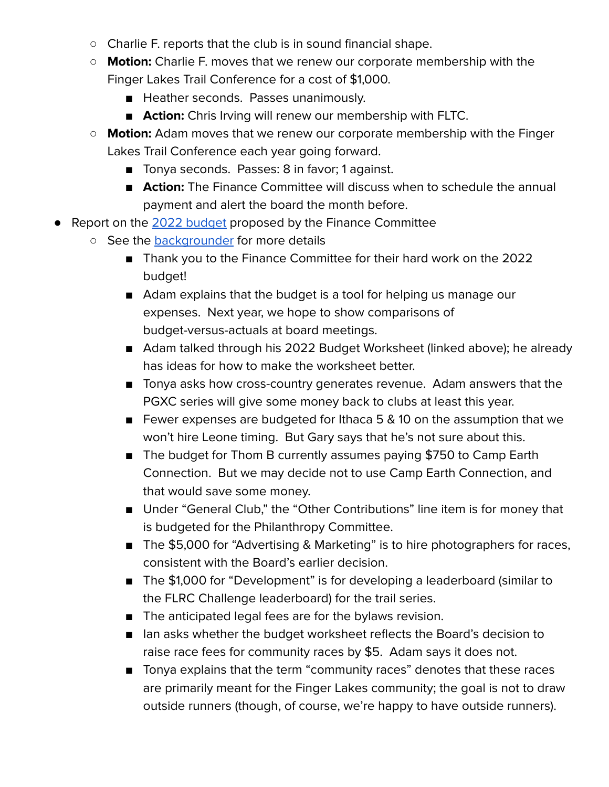- Charlie F. reports that the club is in sound financial shape.
- **Motion:** Charlie F. moves that we renew our corporate membership with the Finger Lakes Trail Conference for a cost of \$1,000.
	- Heather seconds. Passes unanimously.
	- **Action:** Chris Irving will renew our membership with FLTC.
- **○ Motion:** Adam moves that we renew our corporate membership with the Finger Lakes Trail Conference each year going forward.
	- Tonya seconds. Passes: 8 in favor; 1 against.
	- **Action:** The Finance Committee will discuss when to schedule the annual payment and alert the board the month before.
- Report on the 2022 [budget](https://docs.google.com/spreadsheets/d/1JhZ4QWMljM6xIGq8S9E2zUcNx7RtOQVobnrT2XCdHd8/edit?usp=sharing) proposed by the Finance Committee
	- See the [backgrounder](https://forum.fingerlakesrunners.org/t/flrc-board-meeting-on-december-8th-at-5-30-pm-optional-check-in-at-5-15-pm/2683?u=adamengst) for more details
		- Thank you to the Finance Committee for their hard work on the 2022 budget!
		- Adam explains that the budget is a tool for helping us manage our expenses. Next year, we hope to show comparisons of budget-versus-actuals at board meetings.
		- Adam talked through his 2022 Budget Worksheet (linked above); he already has ideas for how to make the worksheet better.
		- Tonya asks how cross-country generates revenue. Adam answers that the PGXC series will give some money back to clubs at least this year.
		- Fewer expenses are budgeted for Ithaca 5 & 10 on the assumption that we won't hire Leone timing. But Gary says that he's not sure about this.
		- The budget for Thom B currently assumes paying \$750 to Camp Earth Connection. But we may decide not to use Camp Earth Connection, and that would save some money.
		- Under "General Club," the "Other Contributions" line item is for money that is budgeted for the Philanthropy Committee.
		- The \$5,000 for "Advertising & Marketing" is to hire photographers for races, consistent with the Board's earlier decision.
		- The \$1,000 for "Development" is for developing a leaderboard (similar to the FLRC Challenge leaderboard) for the trail series.
		- The anticipated legal fees are for the bylaws revision.
		- Ian asks whether the budget worksheet reflects the Board's decision to raise race fees for community races by \$5. Adam says it does not.
		- Tonya explains that the term "community races" denotes that these races are primarily meant for the Finger Lakes community; the goal is not to draw outside runners (though, of course, we're happy to have outside runners).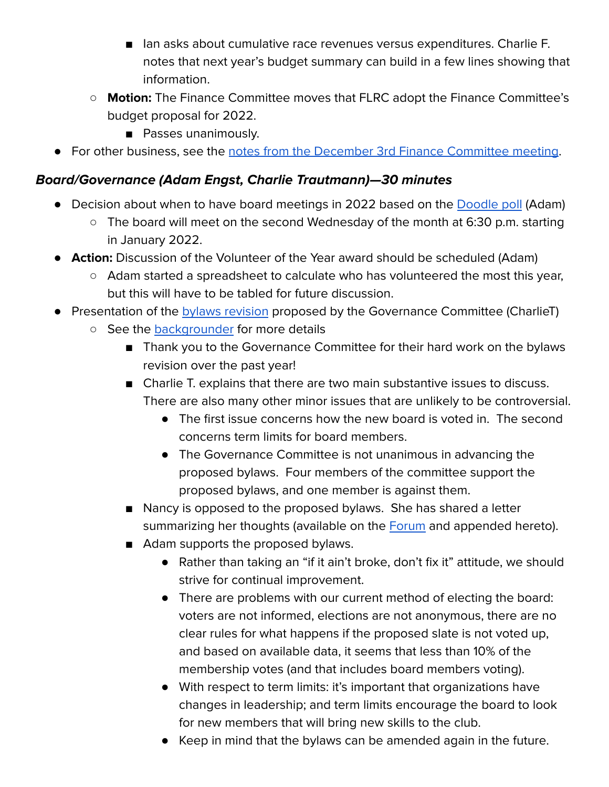- Ian asks about cumulative race revenues versus expenditures. Charlie F. notes that next year's budget summary can build in a few lines showing that information.
- **Motion:** The Finance Committee moves that FLRC adopt the Finance Committee's budget proposal for 2022.
	- Passes unanimously.
- For other business, see the notes from the December 3rd Finance [Committee](https://forum.fingerlakesrunners.org/t/agenda-for-finance-committee-meeting-dec-3-2021-at-3-00pm-via-zoom/2676/3?u=adamengst) meeting.

# **Board/Governance (Adam Engst, Charlie Trautmann)—30 minutes**

- Decision about when to have board meetings in 2022 based on the [Doodle](https://doodle.com/poll/r38bwkzg7qwx454c) poll (Adam)
	- The board will meet on the second Wednesday of the month at 6:30 p.m. starting in January 2022.
- **Action:** Discussion of the Volunteer of the Year award should be scheduled (Adam)
	- Adam started a spreadsheet to calculate who has volunteered the most this year, but this will have to be tabled for future discussion.
- Presentation of the **bylaws [revision](https://docs.google.com/document/d/1hwYzXLPmBE_GPV1wo6Qg6zIuco5pDQDzLc0TTJXDYGc/edit?usp=sharing)** proposed by the Governance Committee (CharlieT)
	- See the [backgrounder](https://forum.fingerlakesrunners.org/t/flrc-board-meeting-on-december-8th-at-5-30-pm-optional-check-in-at-5-15-pm/2683?u=adamengst) for more details
		- Thank you to the Governance Committee for their hard work on the bylaws revision over the past year!
		- Charlie T. explains that there are two main substantive issues to discuss. There are also many other minor issues that are unlikely to be controversial.
			- The first issue concerns how the new board is voted in. The second concerns term limits for board members.
			- The Governance Committee is not unanimous in advancing the proposed bylaws. Four members of the committee support the proposed bylaws, and one member is against them.
		- Nancy is opposed to the proposed bylaws. She has shared a letter summarizing her thoughts (available on the [Forum](https://forum.fingerlakesrunners.org/t/flrc-board-meeting-on-december-8th-at-5-30-pm-optional-check-in-at-5-15-pm/2683/5) and appended hereto).
		- Adam supports the proposed bylaws.
			- Rather than taking an "if it ain't broke, don't fix it" attitude, we should strive for continual improvement.
			- There are problems with our current method of electing the board: voters are not informed, elections are not anonymous, there are no clear rules for what happens if the proposed slate is not voted up, and based on available data, it seems that less than 10% of the membership votes (and that includes board members voting).
			- With respect to term limits: it's important that organizations have changes in leadership; and term limits encourage the board to look for new members that will bring new skills to the club.
			- Keep in mind that the bylaws can be amended again in the future.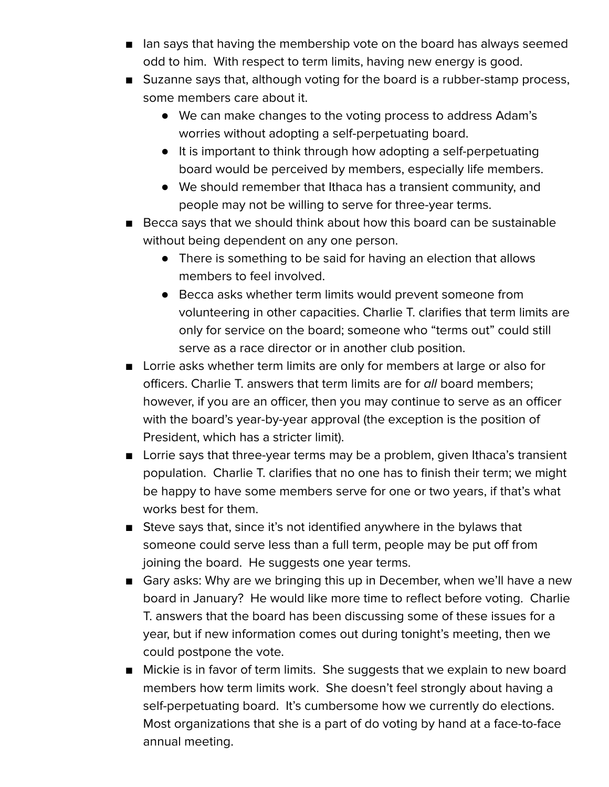- Ian says that having the membership vote on the board has always seemed odd to him. With respect to term limits, having new energy is good.
- Suzanne says that, although voting for the board is a rubber-stamp process, some members care about it.
	- We can make changes to the voting process to address Adam's worries without adopting a self-perpetuating board.
	- It is important to think through how adopting a self-perpetuating board would be perceived by members, especially life members.
	- We should remember that Ithaca has a transient community, and people may not be willing to serve for three-year terms.
- Becca says that we should think about how this board can be sustainable without being dependent on any one person.
	- There is something to be said for having an election that allows members to feel involved.
	- Becca asks whether term limits would prevent someone from volunteering in other capacities. Charlie T. clarifies that term limits are only for service on the board; someone who "terms out" could still serve as a race director or in another club position.
- Lorrie asks whether term limits are only for members at large or also for officers. Charlie T. answers that term limits are for all board members; however, if you are an officer, then you may continue to serve as an officer with the board's year-by-year approval (the exception is the position of President, which has a stricter limit).
- Lorrie says that three-year terms may be a problem, given Ithaca's transient population. Charlie T. clarifies that no one has to finish their term; we might be happy to have some members serve for one or two years, if that's what works best for them.
- Steve says that, since it's not identified anywhere in the bylaws that someone could serve less than a full term, people may be put off from joining the board. He suggests one year terms.
- Gary asks: Why are we bringing this up in December, when we'll have a new board in January? He would like more time to reflect before voting. Charlie T. answers that the board has been discussing some of these issues for a year, but if new information comes out during tonight's meeting, then we could postpone the vote.
- Mickie is in favor of term limits. She suggests that we explain to new board members how term limits work. She doesn't feel strongly about having a self-perpetuating board. It's cumbersome how we currently do elections. Most organizations that she is a part of do voting by hand at a face-to-face annual meeting.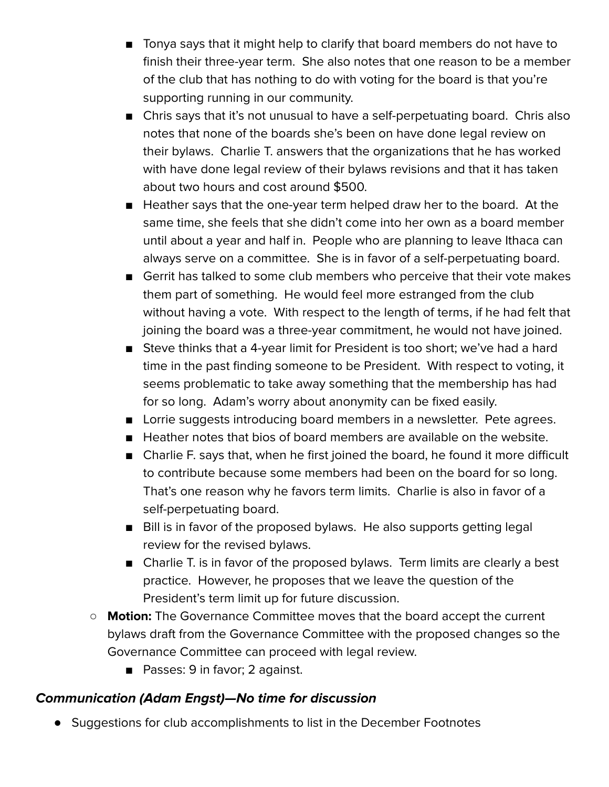- Tonya says that it might help to clarify that board members do not have to finish their three-year term. She also notes that one reason to be a member of the club that has nothing to do with voting for the board is that you're supporting running in our community.
- Chris says that it's not unusual to have a self-perpetuating board. Chris also notes that none of the boards she's been on have done legal review on their bylaws. Charlie T. answers that the organizations that he has worked with have done legal review of their bylaws revisions and that it has taken about two hours and cost around \$500.
- Heather says that the one-year term helped draw her to the board. At the same time, she feels that she didn't come into her own as a board member until about a year and half in. People who are planning to leave Ithaca can always serve on a committee. She is in favor of a self-perpetuating board.
- Gerrit has talked to some club members who perceive that their vote makes them part of something. He would feel more estranged from the club without having a vote. With respect to the length of terms, if he had felt that joining the board was a three-year commitment, he would not have joined.
- Steve thinks that a 4-year limit for President is too short; we've had a hard time in the past finding someone to be President. With respect to voting, it seems problematic to take away something that the membership has had for so long. Adam's worry about anonymity can be fixed easily.
- Lorrie suggests introducing board members in a newsletter. Pete agrees.
- Heather notes that bios of board members are available on the website.
- Charlie F. says that, when he first joined the board, he found it more difficult to contribute because some members had been on the board for so long. That's one reason why he favors term limits. Charlie is also in favor of a self-perpetuating board.
- Bill is in favor of the proposed bylaws. He also supports getting legal review for the revised bylaws.
- Charlie T. is in favor of the proposed bylaws. Term limits are clearly a best practice. However, he proposes that we leave the question of the President's term limit up for future discussion.
- **Motion:** The Governance Committee moves that the board accept the current bylaws draft from the Governance Committee with the proposed changes so the Governance Committee can proceed with legal review.
	- Passes: 9 in favor; 2 against.

# **Communication (Adam Engst)—No time for discussion**

● Suggestions for club accomplishments to list in the December Footnotes